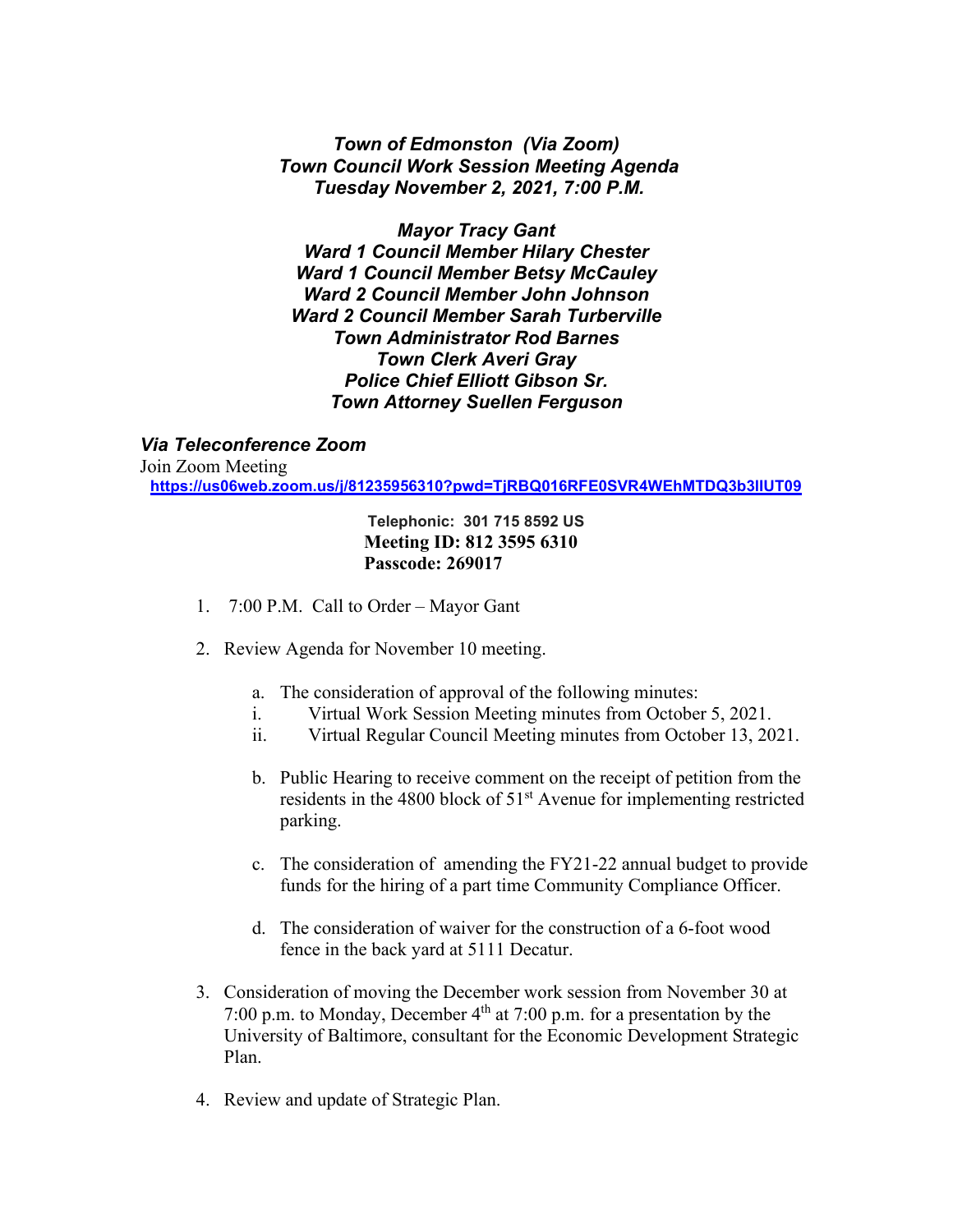## *Town of Edmonston (Via Zoom) Town Council Work Session Meeting Agenda Tuesday November 2, 2021, 7:00 P.M.*

*Mayor Tracy Gant Ward 1 Council Member Hilary Chester Ward 1 Council Member Betsy McCauley Ward 2 Council Member John Johnson Ward 2 Council Member Sarah Turberville Town Administrator Rod Barnes Town Clerk Averi Gray Police Chief Elliott Gibson Sr. Town Attorney Suellen Ferguson*

*Via Teleconference Zoom*

Join Zoom Meeting **<https://us06web.zoom.us/j/81235956310?pwd=TjRBQ016RFE0SVR4WEhMTDQ3b3lIUT09>**

> **Telephonic: 301 715 8592 US Meeting ID: 812 3595 6310 Passcode: 269017**

- 1. 7:00 P.M. Call to Order Mayor Gant
- 2. Review Agenda for November 10 meeting.
	- a. The consideration of approval of the following minutes:
	- i. Virtual Work Session Meeting minutes from October 5, 2021.
	- ii. Virtual Regular Council Meeting minutes from October 13, 2021.
	- b. Public Hearing to receive comment on the receipt of petition from the residents in the 4800 block of 51<sup>st</sup> Avenue for implementing restricted parking.
	- c. The consideration of amending the FY21-22 annual budget to provide funds for the hiring of a part time Community Compliance Officer.
	- d. The consideration of waiver for the construction of a 6-foot wood fence in the back yard at 5111 Decatur.
- 3. Consideration of moving the December work session from November 30 at 7:00 p.m. to Monday, December  $4<sup>th</sup>$  at 7:00 p.m. for a presentation by the University of Baltimore, consultant for the Economic Development Strategic Plan.
- 4. Review and update of Strategic Plan.